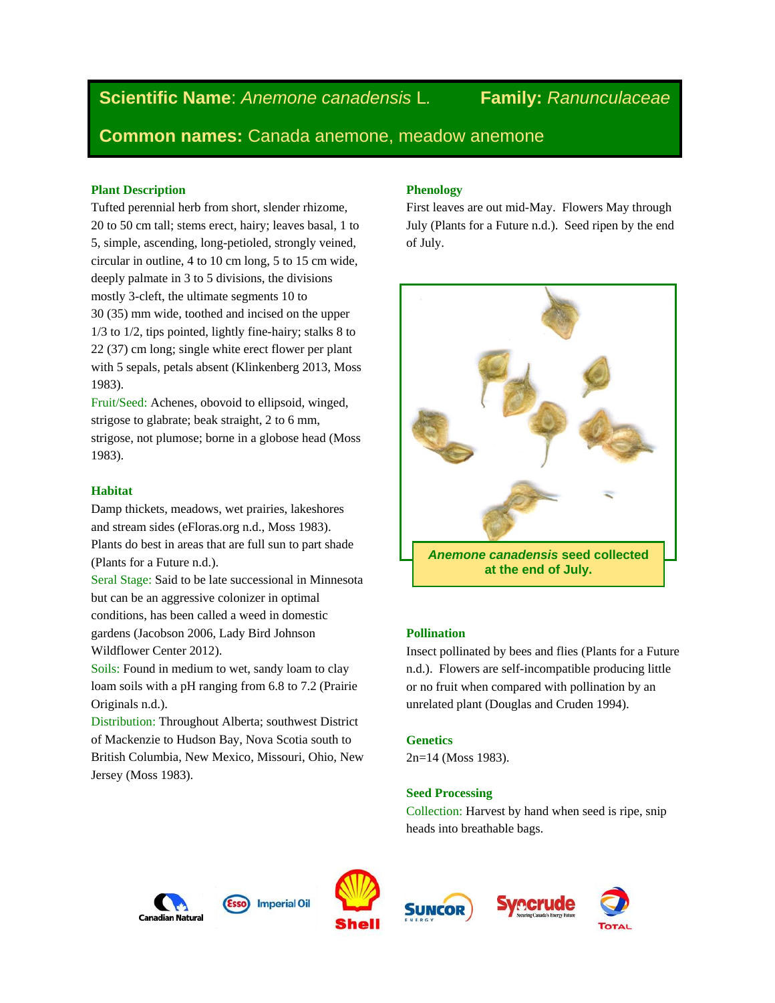# **Scientific Name**: *Anemone canadensis* L*.* **Family:** *Ranunculaceae*

**Common names:** Canada anemone, meadow anemone

# **Plant Description**

Tufted perennial herb from short, slender rhizome, 20 to 50 cm tall; stems erect, hairy; leaves basal, 1 to 5, simple, ascending, long-petioled, strongly veined, circular in outline, 4 to 10 cm long, 5 to 15 cm wide, deeply palmate in 3 to 5 divisions, the divisions mostly 3-cleft, the ultimate segments 10 to 30 (35) mm wide, toothed and incised on the upper 1/3 to 1/2, tips pointed, lightly fine-hairy; stalks 8 to 22 (37) cm long; single white erect flower per plant with 5 sepals, petals absent (Klinkenberg 2013, Moss 1983).

Fruit/Seed: Achenes, obovoid to ellipsoid, winged, strigose to glabrate; beak straight, 2 to 6 mm, strigose, not plumose; borne in a globose head (Moss 1983).

# **Habitat**

Damp thickets, meadows, wet prairies, lakeshores and stream sides (eFloras.org n.d., Moss 1983). Plants do best in areas that are full sun to part shade (Plants for a Future n.d.).

Seral Stage: Said to be late successional in Minnesota but can be an aggressive colonizer in optimal conditions, has been called a weed in domestic gardens (Jacobson 2006, Lady Bird Johnson Wildflower Center 2012).

Soils: Found in medium to wet, sandy loam to clay loam soils with a pH ranging from 6.8 to 7.2 (Prairie Originals n.d.).

Distribution: Throughout Alberta; southwest District of Mackenzie to Hudson Bay, Nova Scotia south to British Columbia, New Mexico, Missouri, Ohio, New Jersey (Moss 1983).

# **Phenology**

First leaves are out mid-May. Flowers May through July (Plants for a Future n.d.). Seed ripen by the end of July.



# **Pollination**

Insect pollinated by bees and flies (Plants for a Future n.d.). Flowers are self-incompatible producing little or no fruit when compared with pollination by an unrelated plant (Douglas and Cruden 1994).

# **Genetics**

2n=14 (Moss 1983).

# **Seed Processing**

Collection: Harvest by hand when seed is ripe, snip heads into breathable bags.









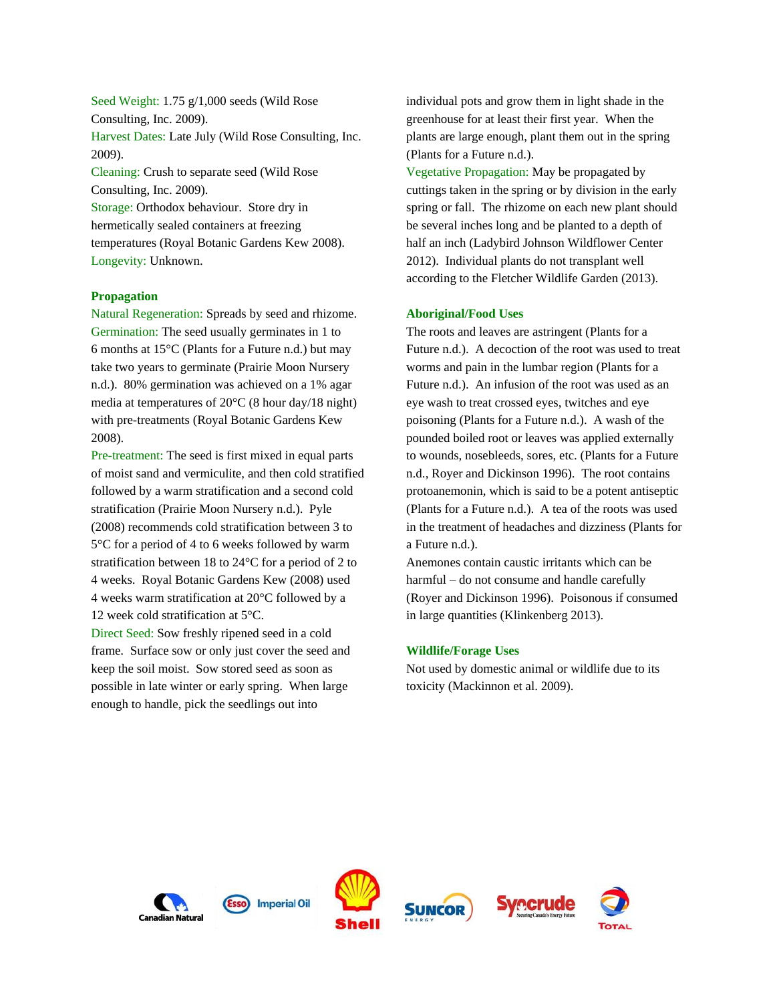Seed Weight: 1.75 g/1,000 seeds (Wild Rose Consulting, Inc. 2009). Harvest Dates: Late July (Wild Rose Consulting, Inc. 2009). Cleaning: Crush to separate seed (Wild Rose Consulting, Inc. 2009).

Storage: Orthodox behaviour. Store dry in hermetically sealed containers at freezing temperatures (Royal Botanic Gardens Kew 2008). Longevity: Unknown.

#### **Propagation**

Natural Regeneration: Spreads by seed and rhizome. Germination: The seed usually germinates in 1 to 6 months at 15°C (Plants for a Future n.d.) but may take two years to germinate (Prairie Moon Nursery n.d.). 80% germination was achieved on a 1% agar media at temperatures of 20°C (8 hour day/18 night) with pre-treatments (Royal Botanic Gardens Kew 2008).

Pre-treatment: The seed is first mixed in equal parts of moist sand and vermiculite, and then cold stratified followed by a warm stratification and a second cold stratification (Prairie Moon Nursery n.d.). Pyle (2008) recommends cold stratification between 3 to 5°C for a period of 4 to 6 weeks followed by warm stratification between 18 to 24°C for a period of 2 to 4 weeks. Royal Botanic Gardens Kew (2008) used 4 weeks warm stratification at 20°C followed by a 12 week cold stratification at 5°C.

Direct Seed: Sow freshly ripened seed in a cold frame. Surface sow or only just cover the seed and keep the soil moist. Sow stored seed as soon as possible in late winter or early spring. When large enough to handle, pick the seedlings out into

individual pots and grow them in light shade in the greenhouse for at least their first year. When the plants are large enough, plant them out in the spring (Plants for a Future n.d.).

Vegetative Propagation: May be propagated by cuttings taken in the spring or by division in the early spring or fall. The rhizome on each new plant should be several inches long and be planted to a depth of half an inch (Ladybird Johnson Wildflower Center 2012). Individual plants do not transplant well according to the Fletcher Wildlife Garden (2013).

#### **Aboriginal/Food Uses**

The roots and leaves are astringent (Plants for a Future n.d.). A decoction of the root was used to treat worms and pain in the lumbar region (Plants for a Future n.d.). An infusion of the root was used as an eye wash to treat crossed eyes, twitches and eye poisoning (Plants for a Future n.d.). A wash of the pounded boiled root or leaves was applied externally to wounds, nosebleeds, sores, etc. (Plants for a Future n.d., Royer and Dickinson 1996). The root contains protoanemonin, which is said to be a potent antiseptic (Plants for a Future n.d.). A tea of the roots was used in the treatment of headaches and dizziness (Plants for a Future n.d.).

Anemones contain caustic irritants which can be harmful – do not consume and handle carefully (Royer and Dickinson 1996). Poisonous if consumed in large quantities (Klinkenberg 2013).

#### **Wildlife/Forage Uses**

Not used by domestic animal or wildlife due to its toxicity (Mackinnon et al. 2009).











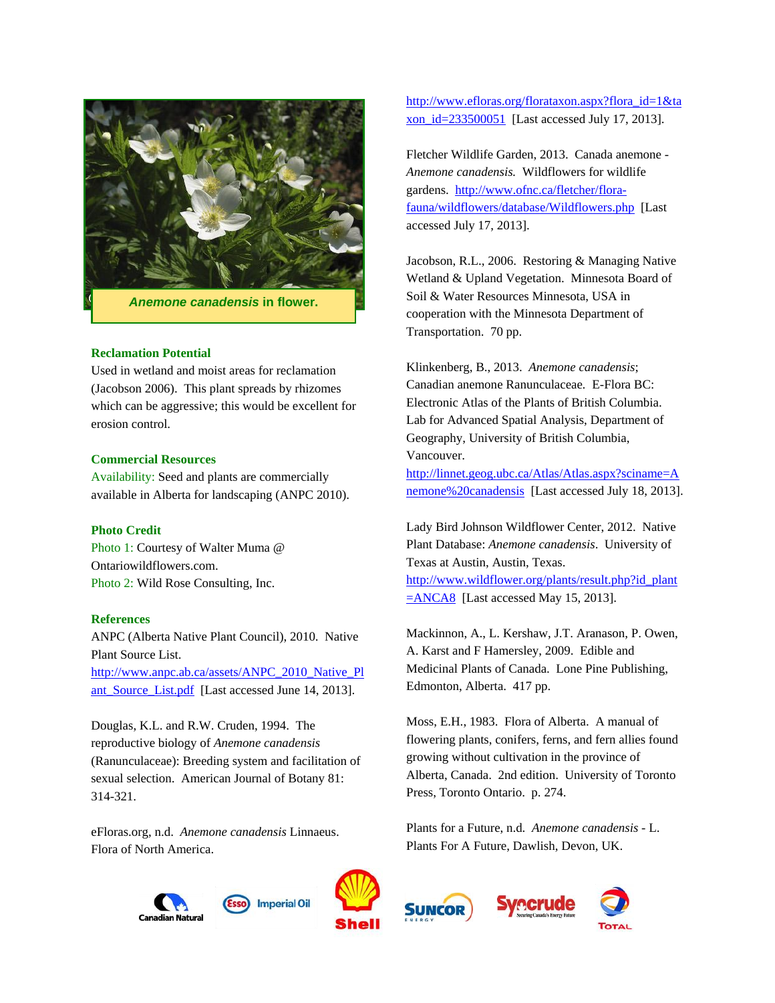

*Anemone canadensis* **in flower.**

#### **Reclamation Potential**

Used in wetland and moist areas for reclamation (Jacobson 2006). This plant spreads by rhizomes which can be aggressive; this would be excellent for erosion control.

### **Commercial Resources**

Availability: Seed and plants are commercially available in Alberta for landscaping (ANPC 2010).

#### **Photo Credit**

Photo 1: Courtesy of Walter Muma @ Ontariowildflowers.com. Photo 2: Wild Rose Consulting, Inc.

#### **References**

ANPC (Alberta Native Plant Council), 2010. Native Plant Source List. [http://www.anpc.ab.ca/assets/ANPC\\_2010\\_Native\\_Pl](http://www.anpc.ab.ca/assets/ANPC_2010_Native_Plant_Source_List.pdf) ant Source List.pdf [Last accessed June 14, 2013].

Douglas, K.L. and R.W. Cruden, 1994. The reproductive biology of *Anemone canadensis* (Ranunculaceae): Breeding system and facilitation of sexual selection. American Journal of Botany 81: 314-321.

eFloras.org, n.d. *Anemone canadensis* Linnaeus. Flora of North America.

Fletcher Wildlife Garden, 2013. Canada anemone - *Anemone canadensis.* Wildflowers for wildlife

gardens. [http://www.ofnc.ca/fletcher/flora](http://www.ofnc.ca/fletcher/flora-fauna/wildflowers/database/Wildflowers.php)[fauna/wildflowers/database/Wildflowers.php](http://www.ofnc.ca/fletcher/flora-fauna/wildflowers/database/Wildflowers.php) [Last accessed July 17, 2013].

[http://www.efloras.org/florataxon.aspx?flora\\_id=1&ta](http://www.efloras.org/florataxon.aspx?flora_id=1&taxon_id=233500051) [xon\\_id=233500051](http://www.efloras.org/florataxon.aspx?flora_id=1&taxon_id=233500051) [Last accessed July 17, 2013].

Jacobson, R.L., 2006. Restoring & Managing Native Wetland & Upland Vegetation. Minnesota Board of Soil & Water Resources Minnesota, USA in cooperation with the Minnesota Department of Transportation. 70 pp.

Klinkenberg, B., 2013. *Anemone canadensis*; Canadian anemone Ranunculaceae*.* E-Flora BC: Electronic Atlas of the Plants of British Columbia. Lab for Advanced Spatial Analysis, Department of Geography, University of British Columbia, Vancouver.

[http://linnet.geog.ubc.ca/Atlas/Atlas.aspx?sciname=A](http://linnet.geog.ubc.ca/Atlas/Atlas.aspx?sciname=Anemone%20canadensis) [nemone%20canadensis](http://linnet.geog.ubc.ca/Atlas/Atlas.aspx?sciname=Anemone%20canadensis) [Last accessed July 18, 2013].

Lady Bird Johnson Wildflower Center, 2012. Native Plant Database: *Anemone canadensis*. University of Texas at Austin, Austin, Texas. [http://www.wildflower.org/plants/result.php?id\\_plant](http://www.wildflower.org/plants/result.php?id_plant=ANCA8)  $\equiv$ ANCA8 [Last accessed May 15, 2013].

Mackinnon, A., L. Kershaw, J.T. Aranason, P. Owen, A. Karst and F Hamersley, 2009. Edible and Medicinal Plants of Canada. Lone Pine Publishing, Edmonton, Alberta. 417 pp.

Moss, E.H., 1983. Flora of Alberta. A manual of flowering plants, conifers, ferns, and fern allies found growing without cultivation in the province of Alberta, Canada. 2nd edition. University of Toronto Press, Toronto Ontario. p. 274.

Plants for a Future, n.d. *Anemone canadensis* - L. Plants For A Future, Dawlish, Devon, UK.